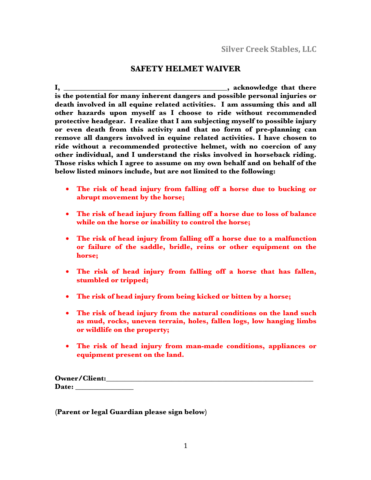## **SAFETY HELMET WAIVER**

**I, \_\_\_\_\_\_\_\_\_\_\_\_\_\_\_\_\_\_\_\_\_\_\_\_\_\_\_\_\_\_\_\_\_\_\_\_\_\_\_\_\_\_\_\_\_, acknowledge that there is the potential for many inherent dangers and possible personal injuries or death involved in all equine related activities. I am assuming this and all other hazards upon myself as I choose to ride without recommended protective headgear. I realize that I am subjecting myself to possible injury or even death from this activity and that no form of pre-planning can remove all dangers involved in equine related activities. I have chosen to ride without a recommended protective helmet, with no coercion of any other individual, and I understand the risks involved in horseback riding. Those risks which I agree to assume on my own behalf and on behalf of the below listed minors include, but are not limited to the following:**

- **The risk of head injury from falling off a horse due to bucking or abrupt movement by the horse;**
- **The risk of head injury from falling off a horse due to loss of balance while on the horse or inability to control the horse;**
- **The risk of head injury from falling off a horse due to a malfunction or failure of the saddle, bridle, reins or other equipment on the horse;**
- **The risk of head injury from falling off a horse that has fallen, stumbled or tripped;**
- **The risk of head injury from being kicked or bitten by a horse;**
- **The risk of head injury from the natural conditions on the land such as mud, rocks, uneven terrain, holes, fallen logs, low hanging limbs or wildlife on the property;**
- **The risk of head injury from man-made conditions, appliances or equipment present on the land.**

| <b>Owner/Client:</b> |  |
|----------------------|--|
| Date:                |  |

**(Parent or legal Guardian please sign below)**